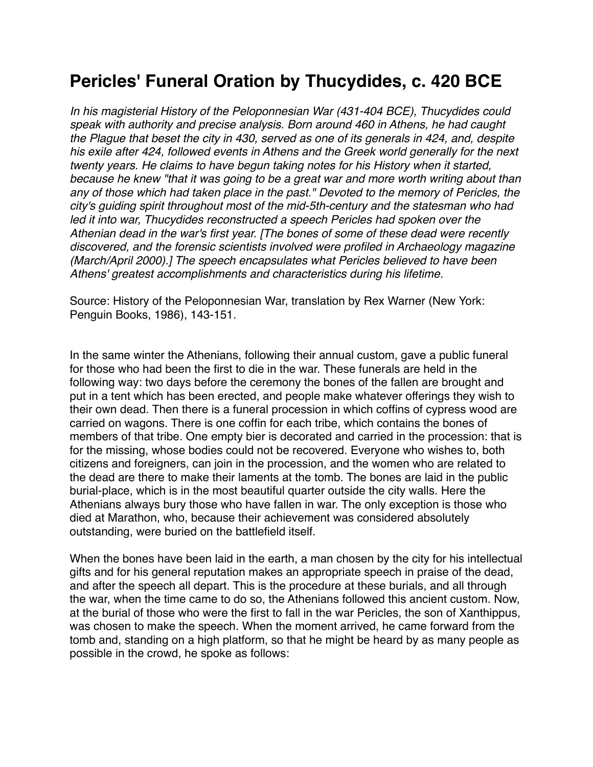## **Pericles' Funeral Oration by Thucydides, c. 420 BCE**

*In his magisterial History of the Peloponnesian War (431-404 BCE), Thucydides could speak with authority and precise analysis. Born around 460 in Athens, he had caught the Plague that beset the city in 430, served as one of its generals in 424, and, despite his exile after 424, followed events in Athens and the Greek world generally for the next twenty years. He claims to have begun taking notes for his History when it started, because he knew "that it was going to be a great war and more worth writing about than any of those which had taken place in the past." Devoted to the memory of Pericles, the city's guiding spirit throughout most of the mid-5th-century and the statesman who had*  led it into war, Thucydides reconstructed a speech Pericles had spoken over the *Athenian dead in the war's first year. [The bones of some of these dead were recently discovered, and the forensic scientists involved were profiled in Archaeology magazine (March/April 2000).] The speech encapsulates what Pericles believed to have been Athens' greatest accomplishments and characteristics during his lifetime.*

Source: History of the Peloponnesian War, translation by Rex Warner (New York: Penguin Books, 1986), 143-151.

In the same winter the Athenians, following their annual custom, gave a public funeral for those who had been the first to die in the war. These funerals are held in the following way: two days before the ceremony the bones of the fallen are brought and put in a tent which has been erected, and people make whatever offerings they wish to their own dead. Then there is a funeral procession in which coffins of cypress wood are carried on wagons. There is one coffin for each tribe, which contains the bones of members of that tribe. One empty bier is decorated and carried in the procession: that is for the missing, whose bodies could not be recovered. Everyone who wishes to, both citizens and foreigners, can join in the procession, and the women who are related to the dead are there to make their laments at the tomb. The bones are laid in the public burial-place, which is in the most beautiful quarter outside the city walls. Here the Athenians always bury those who have fallen in war. The only exception is those who died at Marathon, who, because their achievement was considered absolutely outstanding, were buried on the battlefield itself.

When the bones have been laid in the earth, a man chosen by the city for his intellectual gifts and for his general reputation makes an appropriate speech in praise of the dead, and after the speech all depart. This is the procedure at these burials, and all through the war, when the time came to do so, the Athenians followed this ancient custom. Now, at the burial of those who were the first to fall in the war Pericles, the son of Xanthippus, was chosen to make the speech. When the moment arrived, he came forward from the tomb and, standing on a high platform, so that he might be heard by as many people as possible in the crowd, he spoke as follows: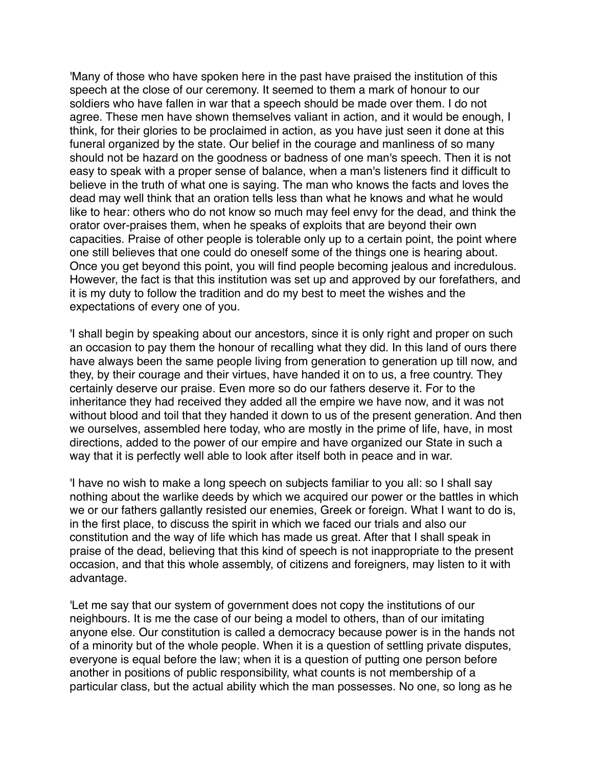'Many of those who have spoken here in the past have praised the institution of this speech at the close of our ceremony. It seemed to them a mark of honour to our soldiers who have fallen in war that a speech should be made over them. I do not agree. These men have shown themselves valiant in action, and it would be enough, I think, for their glories to be proclaimed in action, as you have just seen it done at this funeral organized by the state. Our belief in the courage and manliness of so many should not be hazard on the goodness or badness of one man's speech. Then it is not easy to speak with a proper sense of balance, when a man's listeners find it difficult to believe in the truth of what one is saying. The man who knows the facts and loves the dead may well think that an oration tells less than what he knows and what he would like to hear: others who do not know so much may feel envy for the dead, and think the orator over-praises them, when he speaks of exploits that are beyond their own capacities. Praise of other people is tolerable only up to a certain point, the point where one still believes that one could do oneself some of the things one is hearing about. Once you get beyond this point, you will find people becoming jealous and incredulous. However, the fact is that this institution was set up and approved by our forefathers, and it is my duty to follow the tradition and do my best to meet the wishes and the expectations of every one of you.

'I shall begin by speaking about our ancestors, since it is only right and proper on such an occasion to pay them the honour of recalling what they did. In this land of ours there have always been the same people living from generation to generation up till now, and they, by their courage and their virtues, have handed it on to us, a free country. They certainly deserve our praise. Even more so do our fathers deserve it. For to the inheritance they had received they added all the empire we have now, and it was not without blood and toil that they handed it down to us of the present generation. And then we ourselves, assembled here today, who are mostly in the prime of life, have, in most directions, added to the power of our empire and have organized our State in such a way that it is perfectly well able to look after itself both in peace and in war.

'I have no wish to make a long speech on subjects familiar to you all: so I shall say nothing about the warlike deeds by which we acquired our power or the battles in which we or our fathers gallantly resisted our enemies, Greek or foreign. What I want to do is, in the first place, to discuss the spirit in which we faced our trials and also our constitution and the way of life which has made us great. After that I shall speak in praise of the dead, believing that this kind of speech is not inappropriate to the present occasion, and that this whole assembly, of citizens and foreigners, may listen to it with advantage.

'Let me say that our system of government does not copy the institutions of our neighbours. It is me the case of our being a model to others, than of our imitating anyone else. Our constitution is called a democracy because power is in the hands not of a minority but of the whole people. When it is a question of settling private disputes, everyone is equal before the law; when it is a question of putting one person before another in positions of public responsibility, what counts is not membership of a particular class, but the actual ability which the man possesses. No one, so long as he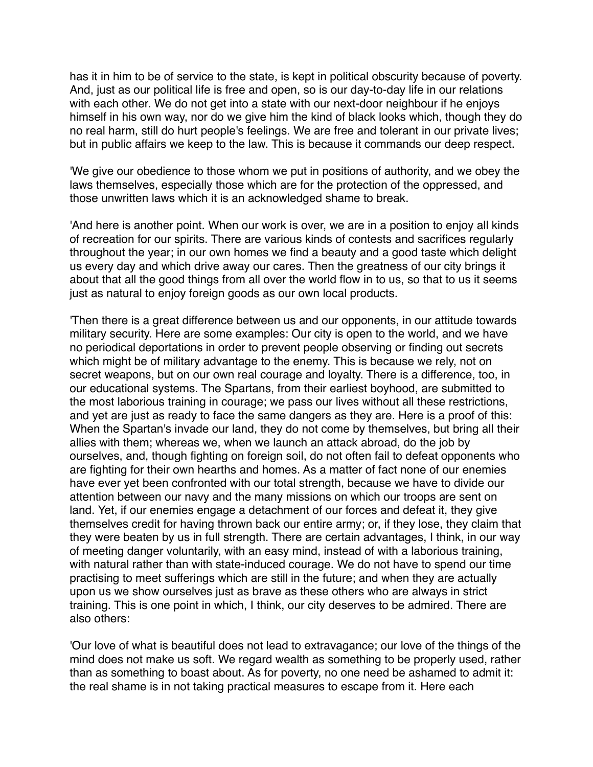has it in him to be of service to the state, is kept in political obscurity because of poverty. And, just as our political life is free and open, so is our day-to-day life in our relations with each other. We do not get into a state with our next-door neighbour if he enjoys himself in his own way, nor do we give him the kind of black looks which, though they do no real harm, still do hurt people's feelings. We are free and tolerant in our private lives; but in public affairs we keep to the law. This is because it commands our deep respect.

'We give our obedience to those whom we put in positions of authority, and we obey the laws themselves, especially those which are for the protection of the oppressed, and those unwritten laws which it is an acknowledged shame to break.

'And here is another point. When our work is over, we are in a position to enjoy all kinds of recreation for our spirits. There are various kinds of contests and sacrifices regularly throughout the year; in our own homes we find a beauty and a good taste which delight us every day and which drive away our cares. Then the greatness of our city brings it about that all the good things from all over the world flow in to us, so that to us it seems just as natural to enjoy foreign goods as our own local products.

'Then there is a great difference between us and our opponents, in our attitude towards military security. Here are some examples: Our city is open to the world, and we have no periodical deportations in order to prevent people observing or finding out secrets which might be of military advantage to the enemy. This is because we rely, not on secret weapons, but on our own real courage and loyalty. There is a difference, too, in our educational systems. The Spartans, from their earliest boyhood, are submitted to the most laborious training in courage; we pass our lives without all these restrictions, and yet are just as ready to face the same dangers as they are. Here is a proof of this: When the Spartan's invade our land, they do not come by themselves, but bring all their allies with them; whereas we, when we launch an attack abroad, do the job by ourselves, and, though fighting on foreign soil, do not often fail to defeat opponents who are fighting for their own hearths and homes. As a matter of fact none of our enemies have ever yet been confronted with our total strength, because we have to divide our attention between our navy and the many missions on which our troops are sent on land. Yet, if our enemies engage a detachment of our forces and defeat it, they give themselves credit for having thrown back our entire army; or, if they lose, they claim that they were beaten by us in full strength. There are certain advantages, I think, in our way of meeting danger voluntarily, with an easy mind, instead of with a laborious training, with natural rather than with state-induced courage. We do not have to spend our time practising to meet sufferings which are still in the future; and when they are actually upon us we show ourselves just as brave as these others who are always in strict training. This is one point in which, I think, our city deserves to be admired. There are also others:

'Our love of what is beautiful does not lead to extravagance; our love of the things of the mind does not make us soft. We regard wealth as something to be properly used, rather than as something to boast about. As for poverty, no one need be ashamed to admit it: the real shame is in not taking practical measures to escape from it. Here each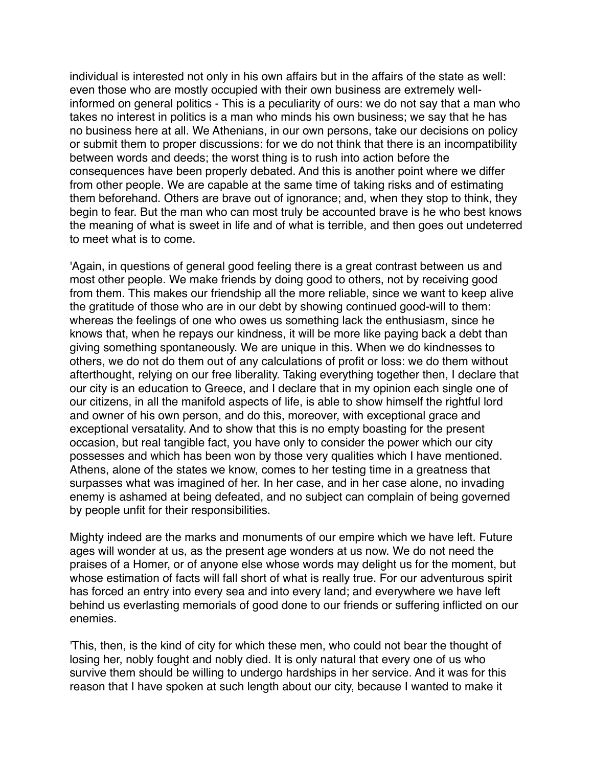individual is interested not only in his own affairs but in the affairs of the state as well: even those who are mostly occupied with their own business are extremely wellinformed on general politics - This is a peculiarity of ours: we do not say that a man who takes no interest in politics is a man who minds his own business; we say that he has no business here at all. We Athenians, in our own persons, take our decisions on policy or submit them to proper discussions: for we do not think that there is an incompatibility between words and deeds; the worst thing is to rush into action before the consequences have been properly debated. And this is another point where we differ from other people. We are capable at the same time of taking risks and of estimating them beforehand. Others are brave out of ignorance; and, when they stop to think, they begin to fear. But the man who can most truly be accounted brave is he who best knows the meaning of what is sweet in life and of what is terrible, and then goes out undeterred to meet what is to come.

'Again, in questions of general good feeling there is a great contrast between us and most other people. We make friends by doing good to others, not by receiving good from them. This makes our friendship all the more reliable, since we want to keep alive the gratitude of those who are in our debt by showing continued good-will to them: whereas the feelings of one who owes us something lack the enthusiasm, since he knows that, when he repays our kindness, it will be more like paying back a debt than giving something spontaneously. We are unique in this. When we do kindnesses to others, we do not do them out of any calculations of profit or loss: we do them without afterthought, relying on our free liberality. Taking everything together then, I declare that our city is an education to Greece, and I declare that in my opinion each single one of our citizens, in all the manifold aspects of life, is able to show himself the rightful lord and owner of his own person, and do this, moreover, with exceptional grace and exceptional versatality. And to show that this is no empty boasting for the present occasion, but real tangible fact, you have only to consider the power which our city possesses and which has been won by those very qualities which I have mentioned. Athens, alone of the states we know, comes to her testing time in a greatness that surpasses what was imagined of her. In her case, and in her case alone, no invading enemy is ashamed at being defeated, and no subject can complain of being governed by people unfit for their responsibilities.

Mighty indeed are the marks and monuments of our empire which we have left. Future ages will wonder at us, as the present age wonders at us now. We do not need the praises of a Homer, or of anyone else whose words may delight us for the moment, but whose estimation of facts will fall short of what is really true. For our adventurous spirit has forced an entry into every sea and into every land; and everywhere we have left behind us everlasting memorials of good done to our friends or suffering inflicted on our enemies.

'This, then, is the kind of city for which these men, who could not bear the thought of losing her, nobly fought and nobly died. It is only natural that every one of us who survive them should be willing to undergo hardships in her service. And it was for this reason that I have spoken at such length about our city, because I wanted to make it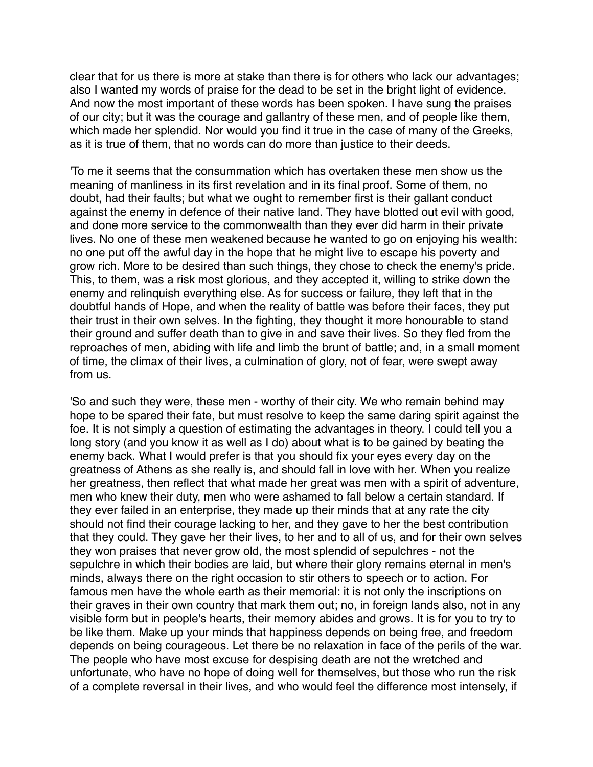clear that for us there is more at stake than there is for others who lack our advantages; also I wanted my words of praise for the dead to be set in the bright light of evidence. And now the most important of these words has been spoken. I have sung the praises of our city; but it was the courage and gallantry of these men, and of people like them, which made her splendid. Nor would you find it true in the case of many of the Greeks, as it is true of them, that no words can do more than justice to their deeds.

'To me it seems that the consummation which has overtaken these men show us the meaning of manliness in its first revelation and in its final proof. Some of them, no doubt, had their faults; but what we ought to remember first is their gallant conduct against the enemy in defence of their native land. They have blotted out evil with good, and done more service to the commonwealth than they ever did harm in their private lives. No one of these men weakened because he wanted to go on enjoying his wealth: no one put off the awful day in the hope that he might live to escape his poverty and grow rich. More to be desired than such things, they chose to check the enemy's pride. This, to them, was a risk most glorious, and they accepted it, willing to strike down the enemy and relinquish everything else. As for success or failure, they left that in the doubtful hands of Hope, and when the reality of battle was before their faces, they put their trust in their own selves. In the fighting, they thought it more honourable to stand their ground and suffer death than to give in and save their lives. So they fled from the reproaches of men, abiding with life and limb the brunt of battle; and, in a small moment of time, the climax of their lives, a culmination of glory, not of fear, were swept away from us.

'So and such they were, these men - worthy of their city. We who remain behind may hope to be spared their fate, but must resolve to keep the same daring spirit against the foe. It is not simply a question of estimating the advantages in theory. I could tell you a long story (and you know it as well as I do) about what is to be gained by beating the enemy back. What I would prefer is that you should fix your eyes every day on the greatness of Athens as she really is, and should fall in love with her. When you realize her greatness, then reflect that what made her great was men with a spirit of adventure, men who knew their duty, men who were ashamed to fall below a certain standard. If they ever failed in an enterprise, they made up their minds that at any rate the city should not find their courage lacking to her, and they gave to her the best contribution that they could. They gave her their lives, to her and to all of us, and for their own selves they won praises that never grow old, the most splendid of sepulchres - not the sepulchre in which their bodies are laid, but where their glory remains eternal in men's minds, always there on the right occasion to stir others to speech or to action. For famous men have the whole earth as their memorial: it is not only the inscriptions on their graves in their own country that mark them out; no, in foreign lands also, not in any visible form but in people's hearts, their memory abides and grows. It is for you to try to be like them. Make up your minds that happiness depends on being free, and freedom depends on being courageous. Let there be no relaxation in face of the perils of the war. The people who have most excuse for despising death are not the wretched and unfortunate, who have no hope of doing well for themselves, but those who run the risk of a complete reversal in their lives, and who would feel the difference most intensely, if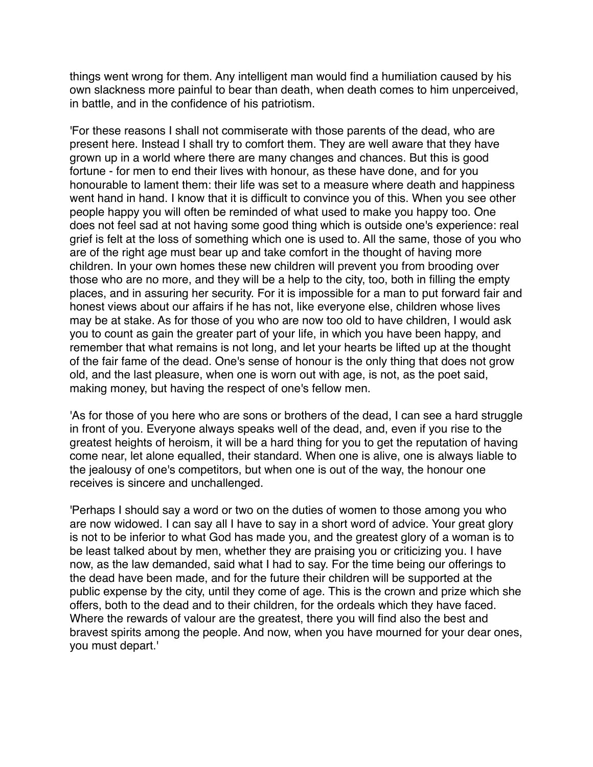things went wrong for them. Any intelligent man would find a humiliation caused by his own slackness more painful to bear than death, when death comes to him unperceived, in battle, and in the confidence of his patriotism.

'For these reasons I shall not commiserate with those parents of the dead, who are present here. Instead I shall try to comfort them. They are well aware that they have grown up in a world where there are many changes and chances. But this is good fortune - for men to end their lives with honour, as these have done, and for you honourable to lament them: their life was set to a measure where death and happiness went hand in hand. I know that it is difficult to convince you of this. When you see other people happy you will often be reminded of what used to make you happy too. One does not feel sad at not having some good thing which is outside one's experience: real grief is felt at the loss of something which one is used to. All the same, those of you who are of the right age must bear up and take comfort in the thought of having more children. In your own homes these new children will prevent you from brooding over those who are no more, and they will be a help to the city, too, both in filling the empty places, and in assuring her security. For it is impossible for a man to put forward fair and honest views about our affairs if he has not, like everyone else, children whose lives may be at stake. As for those of you who are now too old to have children, I would ask you to count as gain the greater part of your life, in which you have been happy, and remember that what remains is not long, and let your hearts be lifted up at the thought of the fair fame of the dead. One's sense of honour is the only thing that does not grow old, and the last pleasure, when one is worn out with age, is not, as the poet said, making money, but having the respect of one's fellow men.

'As for those of you here who are sons or brothers of the dead, I can see a hard struggle in front of you. Everyone always speaks well of the dead, and, even if you rise to the greatest heights of heroism, it will be a hard thing for you to get the reputation of having come near, let alone equalled, their standard. When one is alive, one is always liable to the jealousy of one's competitors, but when one is out of the way, the honour one receives is sincere and unchallenged.

'Perhaps I should say a word or two on the duties of women to those among you who are now widowed. I can say all I have to say in a short word of advice. Your great glory is not to be inferior to what God has made you, and the greatest glory of a woman is to be least talked about by men, whether they are praising you or criticizing you. I have now, as the law demanded, said what I had to say. For the time being our offerings to the dead have been made, and for the future their children will be supported at the public expense by the city, until they come of age. This is the crown and prize which she offers, both to the dead and to their children, for the ordeals which they have faced. Where the rewards of valour are the greatest, there you will find also the best and bravest spirits among the people. And now, when you have mourned for your dear ones, you must depart.'